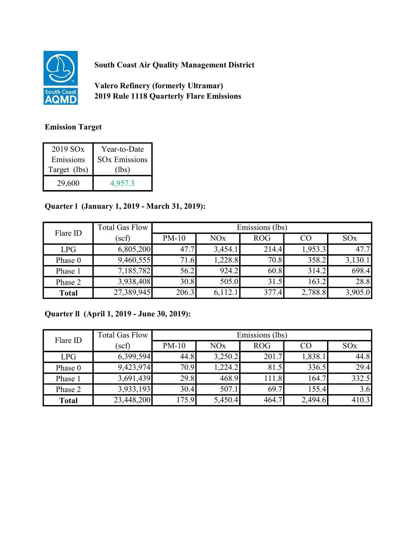

South Coast Air Quality Management District

Valero Refinery (formerly Ultramar) 2019 Rule 1118 Quarterly Flare Emissions

## Emission Target

| 2019 SO <sub>x</sub> | Year-to-Date         |
|----------------------|----------------------|
| Emissions            | <b>SOx Emissions</b> |
| Target (lbs)         | (lbs)                |
| 29,600               | 4,957.3              |

## Quarter l (January 1, 2019 - March 31, 2019):

| Flare ID     | <b>Total Gas Flow</b> | Emissions (lbs) |         |            |         |                 |
|--------------|-----------------------|-----------------|---------|------------|---------|-----------------|
|              | (scf)                 | $PM-10$         | NOx     | <b>ROG</b> | CO      | SO <sub>x</sub> |
| LPG          | 6,805,200             | 47.7            | 3,454.1 | 214.4      | 1,953.3 | 47.7            |
| Phase 0      | 9,460,555             | 71.6            | 1,228.8 | 70.8       | 358.2   | 3,130.1         |
| Phase 1      | 7,185,782             | 56.2            | 924.2   | 60.8       | 314.2   | 698.4           |
| Phase 2      | 3,938,408             | 30.8            | 505.0   | 31.5       | 163.2   | 28.8            |
| <b>Total</b> | 27,389,945            | 206.3           | 6,112.  | 377.4      | 2,788.8 | 3,905.0         |

## Quarter ll (April 1, 2019 - June 30, 2019):

| Flare ID     | <b>Total Gas Flow</b> | Emissions (lbs) |         |            |         |                 |
|--------------|-----------------------|-----------------|---------|------------|---------|-----------------|
|              | (scf)                 | $PM-10$         | NOx     | <b>ROG</b> | CO      | SO <sub>x</sub> |
| LPG          | 6,399,594             | 44.8            | 3,250.2 | 201.7      | 1,838.1 | 44.8            |
| Phase 0      | 9,423,974             | 70.9            | 1,224.2 | 81.5       | 336.5   | 29.4            |
| Phase 1      | 3,691,439             | 29.8            | 468.9   | 11.8       | 164.7   | 332.5           |
| Phase 2      | 3,933,193             | 30.4            | 507.1   | 69.7       | 155.4   | 3.6             |
| <b>Total</b> | 23,448,200            | 175.9           | 5,450.4 | 464.7      | 2,494.6 | 410.3           |